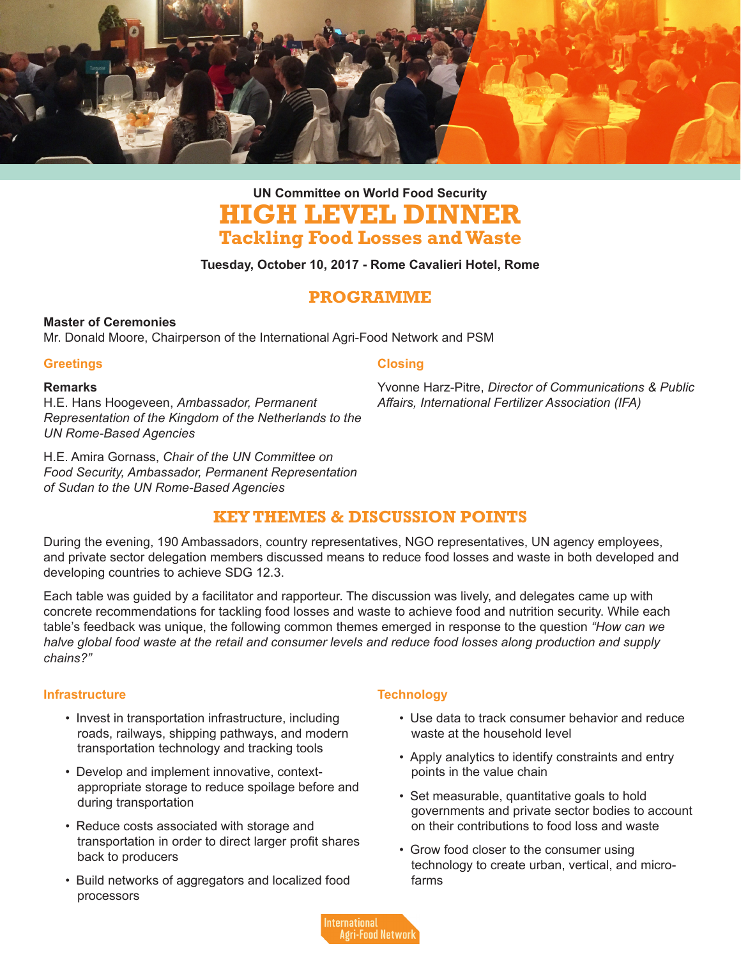

# **HIGH LEVEL DINNER Tackling Food Losses and Waste UN Committee on World Food Security**

#### **Tuesday, October 10, 2017 - Rome Cavalieri Hotel, Rome**

### **PROGRAMME**

#### **Master of Ceremonies**

Mr. Donald Moore, Chairperson of the International Agri-Food Network and PSM

#### **Greetings**

#### **Remarks**

H.E. Hans Hoogeveen, *Ambassador, Permanent Representation of the Kingdom of the Netherlands to the UN Rome-Based Agencies*

H.E. Amira Gornass, *Chair of the UN Committee on Food Security, Ambassador, Permanent Representation of Sudan to the UN Rome-Based Agencies*

#### **Closing**

Yvonne Harz-Pitre, *Director of Communications & Public Affairs, International Fertilizer Association (IFA)*

## **KEY THEMES & DISCUSSION POINTS**

During the evening, 190 Ambassadors, country representatives, NGO representatives, UN agency employees, and private sector delegation members discussed means to reduce food losses and waste in both developed and developing countries to achieve SDG 12.3.

Each table was guided by a facilitator and rapporteur. The discussion was lively, and delegates came up with concrete recommendations for tackling food losses and waste to achieve food and nutrition security. While each table's feedback was unique, the following common themes emerged in response to the question *"How can we halve global food waste at the retail and consumer levels and reduce food losses along production and supply chains?"*

#### **Infrastructure**

- Invest in transportation infrastructure, including roads, railways, shipping pathways, and modern transportation technology and tracking tools
- Develop and implement innovative, contextappropriate storage to reduce spoilage before and during transportation
- Reduce costs associated with storage and transportation in order to direct larger profit shares back to producers
- Build networks of aggregators and localized food processors

#### **Technology**

- Use data to track consumer behavior and reduce waste at the household level
- Apply analytics to identify constraints and entry points in the value chain
- Set measurable, quantitative goals to hold governments and private sector bodies to account on their contributions to food loss and waste
- Grow food closer to the consumer using technology to create urban, vertical, and microfarms